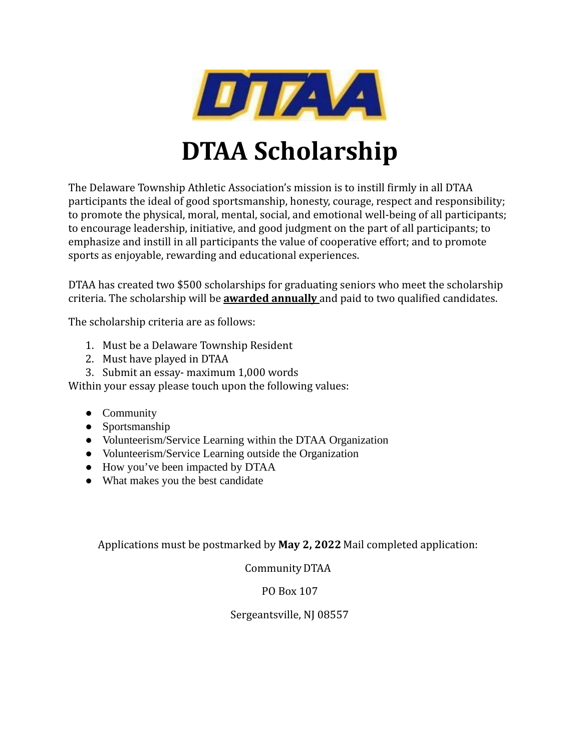

# **DTAA Scholarship**

The Delaware Township Athletic Association's mission is to instill firmly in all DTAA participants the ideal of good sportsmanship, honesty, courage, respect and responsibility; to promote the physical, moral, mental, social, and emotional well-being of all participants; to encourage leadership, initiative, and good judgment on the part of all participants; to emphasize and instill in all participants the value of cooperative effort; and to promote sports as enjoyable, rewarding and educational experiences.

DTAA has created two \$500 scholarships for graduating seniors who meet the scholarship criteria. The scholarship will be **awarded annually** and paid to two qualified candidates.

The scholarship criteria are as follows:

- 1. Must be a Delaware Township Resident
- 2. Must have played in DTAA
- 3. Submit an essay- maximum 1,000 words

Within your essay please touch upon the following values:

- Community
- Sportsmanship
- Volunteerism/Service Learning within the DTAA Organization
- Volunteerism/Service Learning outside the Organization
- How you've been impacted by DTAA
- What makes you the best candidate

Applications must be postmarked by **May 2, 2022** Mail completed application:

Community DTAA

## PO Box 107

Sergeantsville, NJ 08557